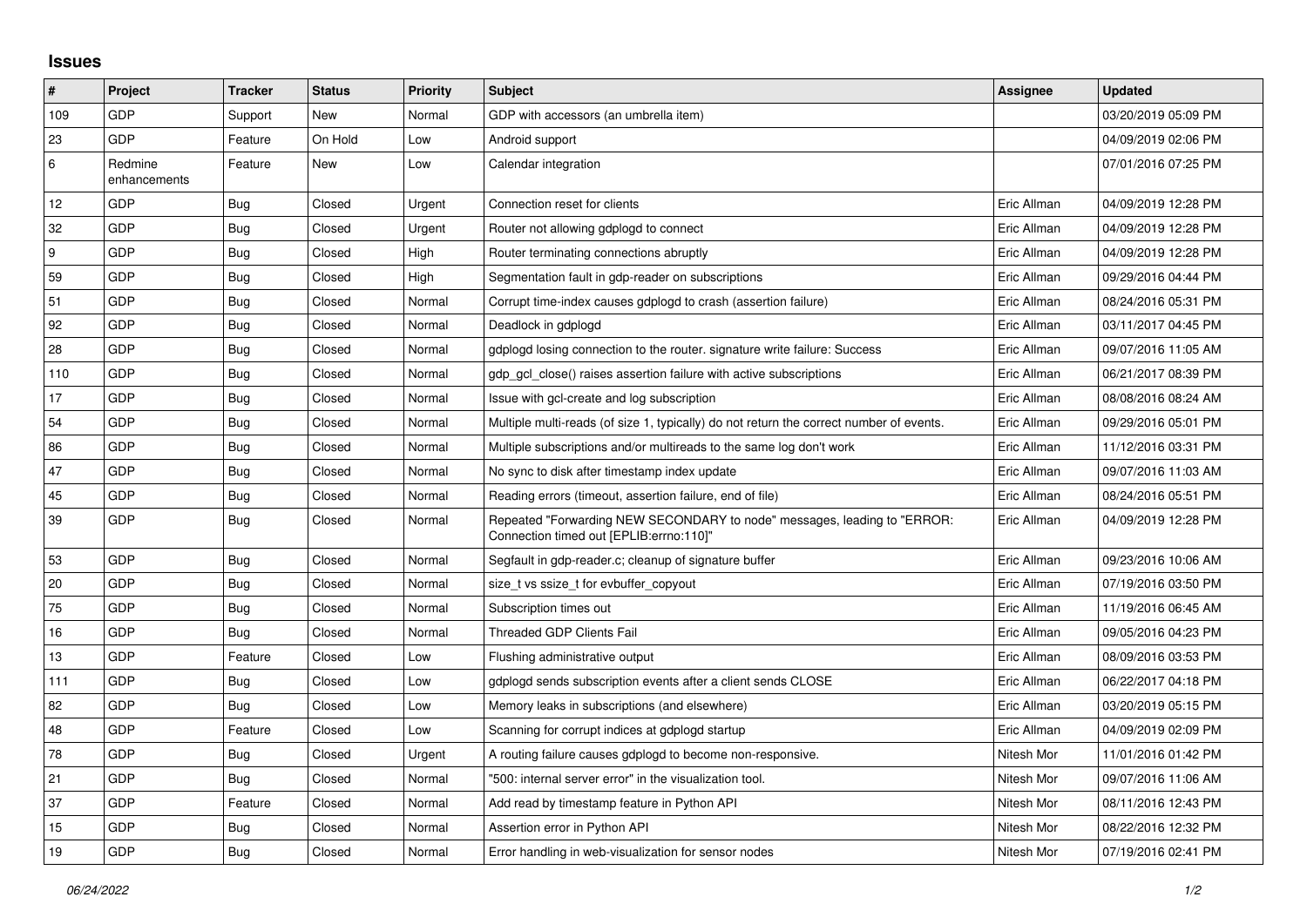## **Issues**

| $\pmb{\sharp}$ | Project                 | <b>Tracker</b> | <b>Status</b> | <b>Priority</b> | <b>Subject</b>                                                                                                      | <b>Assignee</b> | <b>Updated</b>      |
|----------------|-------------------------|----------------|---------------|-----------------|---------------------------------------------------------------------------------------------------------------------|-----------------|---------------------|
| 109            | GDP                     | Support        | New           | Normal          | GDP with accessors (an umbrella item)                                                                               |                 | 03/20/2019 05:09 PM |
| 23             | GDP                     | Feature        | On Hold       | Low             | Android support                                                                                                     |                 | 04/09/2019 02:06 PM |
| 6              | Redmine<br>enhancements | Feature        | New           | Low             | Calendar integration                                                                                                |                 | 07/01/2016 07:25 PM |
| 12             | GDP                     | <b>Bug</b>     | Closed        | Urgent          | Connection reset for clients                                                                                        | Eric Allman     | 04/09/2019 12:28 PM |
| 32             | GDP                     | Bug            | Closed        | Urgent          | Router not allowing gdplogd to connect                                                                              | Eric Allman     | 04/09/2019 12:28 PM |
| 9              | GDP                     | <b>Bug</b>     | Closed        | High            | Router terminating connections abruptly                                                                             | Eric Allman     | 04/09/2019 12:28 PM |
| 59             | GDP                     | Bug            | Closed        | High            | Segmentation fault in gdp-reader on subscriptions                                                                   | Eric Allman     | 09/29/2016 04:44 PM |
| 51             | GDP                     | Bug            | Closed        | Normal          | Corrupt time-index causes gdplogd to crash (assertion failure)                                                      | Eric Allman     | 08/24/2016 05:31 PM |
| 92             | GDP                     | <b>Bug</b>     | Closed        | Normal          | Deadlock in gdplogd                                                                                                 | Eric Allman     | 03/11/2017 04:45 PM |
| 28             | GDP                     | Bug            | Closed        | Normal          | gdplogd losing connection to the router, signature write failure: Success                                           | Eric Allman     | 09/07/2016 11:05 AM |
| 110            | <b>GDP</b>              | Bug            | Closed        | Normal          | gdp gcl close() raises assertion failure with active subscriptions                                                  | Eric Allman     | 06/21/2017 08:39 PM |
| 17             | GDP                     | <b>Bug</b>     | Closed        | Normal          | Issue with gcl-create and log subscription                                                                          | Eric Allman     | 08/08/2016 08:24 AM |
| 54             | GDP                     | Bug            | Closed        | Normal          | Multiple multi-reads (of size 1, typically) do not return the correct number of events.                             | Eric Allman     | 09/29/2016 05:01 PM |
| 86             | GDP                     | Bug            | Closed        | Normal          | Multiple subscriptions and/or multireads to the same log don't work                                                 | Eric Allman     | 11/12/2016 03:31 PM |
| 47             | GDP                     | Bug            | Closed        | Normal          | No sync to disk after timestamp index update                                                                        | Eric Allman     | 09/07/2016 11:03 AM |
| 45             | GDP                     | <b>Bug</b>     | Closed        | Normal          | Reading errors (timeout, assertion failure, end of file)                                                            | Eric Allman     | 08/24/2016 05:51 PM |
| 39             | GDP                     | Bug            | Closed        | Normal          | Repeated "Forwarding NEW SECONDARY to node" messages, leading to "ERROR:<br>Connection timed out [EPLIB:errno:110]" | Eric Allman     | 04/09/2019 12:28 PM |
| 53             | GDP                     | <b>Bug</b>     | Closed        | Normal          | Segfault in gdp-reader.c; cleanup of signature buffer                                                               | Eric Allman     | 09/23/2016 10:06 AM |
| 20             | <b>GDP</b>              | <b>Bug</b>     | Closed        | Normal          | size t vs ssize t for evbuffer copyout                                                                              | Eric Allman     | 07/19/2016 03:50 PM |
| 75             | GDP                     | Bug            | Closed        | Normal          | Subscription times out                                                                                              | Eric Allman     | 11/19/2016 06:45 AM |
| 16             | GDP                     | Bug            | Closed        | Normal          | <b>Threaded GDP Clients Fail</b>                                                                                    | Eric Allman     | 09/05/2016 04:23 PM |
| 13             | <b>GDP</b>              | Feature        | Closed        | Low             | Flushing administrative output                                                                                      | Eric Allman     | 08/09/2016 03:53 PM |
| 111            | GDP                     | Bug            | Closed        | Low             | gdplogd sends subscription events after a client sends CLOSE                                                        | Eric Allman     | 06/22/2017 04:18 PM |
| 82             | GDP                     | Bug            | Closed        | Low             | Memory leaks in subscriptions (and elsewhere)                                                                       | Eric Allman     | 03/20/2019 05:15 PM |
| 48             | GDP                     | Feature        | Closed        | Low             | Scanning for corrupt indices at gdplogd startup                                                                     | Eric Allman     | 04/09/2019 02:09 PM |
| 78             | GDP                     | <b>Bug</b>     | Closed        | Urgent          | A routing failure causes gdplogd to become non-responsive.                                                          | Nitesh Mor      | 11/01/2016 01:42 PM |
| 21             | GDP                     | Bug            | Closed        | Normal          | "500: internal server error" in the visualization tool.                                                             | Nitesh Mor      | 09/07/2016 11:06 AM |
| 37             | <b>GDP</b>              | Feature        | Closed        | Normal          | Add read by timestamp feature in Python API                                                                         | Nitesh Mor      | 08/11/2016 12:43 PM |
| 15             | GDP                     | Bug            | Closed        | Normal          | Assertion error in Python API                                                                                       | Nitesh Mor      | 08/22/2016 12:32 PM |
| 19             | GDP                     | Bug            | Closed        | Normal          | Error handling in web-visualization for sensor nodes                                                                | Nitesh Mor      | 07/19/2016 02:41 PM |